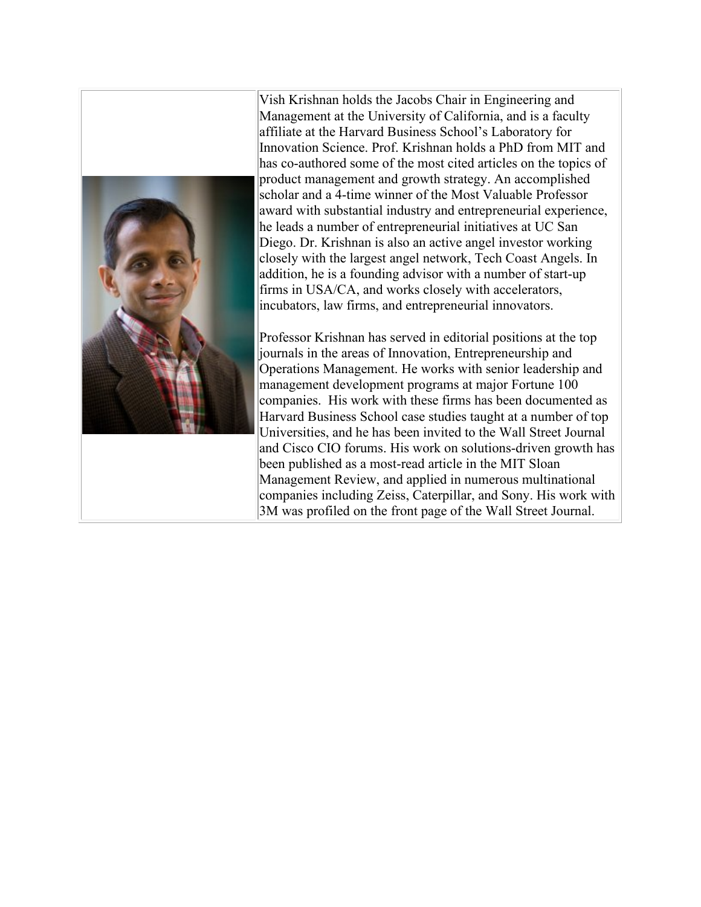

Vish Krishnan holds the Jacobs Chair in Engineering and Management at the University of California, and is a faculty affiliate at the Harvard Business School's Laboratory for Innovation Science. Prof. Krishnan holds a PhD from MIT and has co-authored some of the most cited articles on the topics of product management and growth strategy. An accomplished scholar and a 4-time winner of the Most Valuable Professor award with substantial industry and entrepreneurial experience, he leads a number of entrepreneurial initiatives at UC San Diego. Dr. Krishnan is also an active angel investor working closely with the largest angel network, Tech Coast Angels. In addition, he is a founding advisor with a number of start-up firms in USA/CA, and works closely with accelerators, incubators, law firms, and entrepreneurial innovators.

Professor Krishnan has served in editorial positions at the top journals in the areas of Innovation, Entrepreneurship and Operations Management. He works with senior leadership and management development programs at major Fortune 100 companies. His work with these firms has been documented as Harvard Business School case studies taught at a number of top Universities, and he has been invited to the Wall Street Journal and Cisco CIO forums. His work on solutions-driven growth has been published as a most-read article in the MIT Sloan Management Review, and applied in numerous multinational companies including Zeiss, Caterpillar, and Sony. His work with 3M was profiled on the front page of the Wall Street Journal.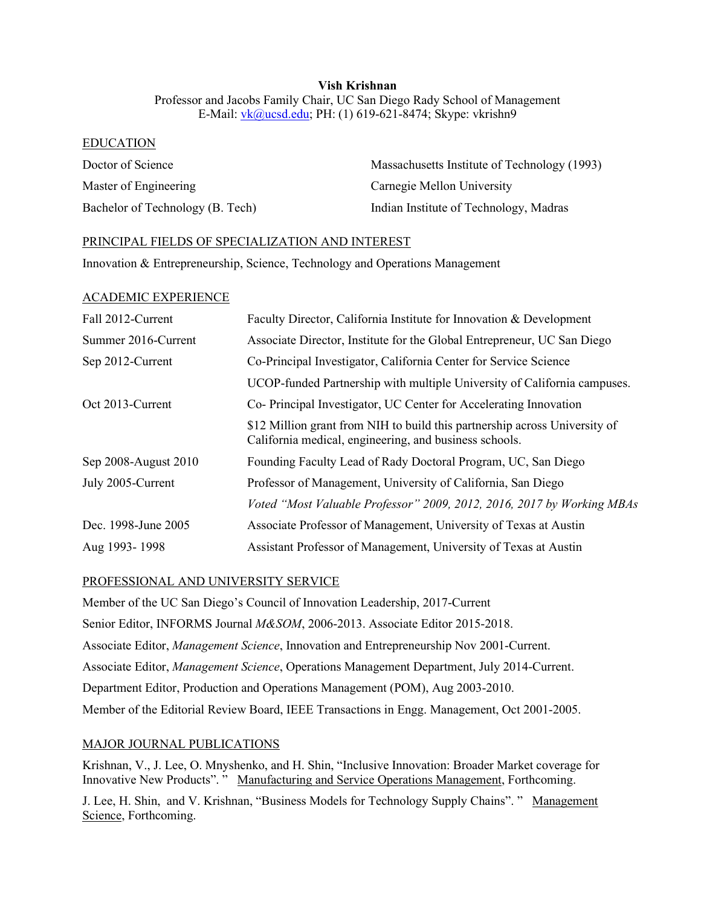## **Vish Krishnan** Professor and Jacobs Family Chair, UC San Diego Rady School of Management E-Mail: [vk@ucsd.edu;](mailto:vk@ucsd.edu) PH: (1) 619-621-8474; Skype: vkrishn9

#### EDUCATION

| Doctor of Science                | Massachusetts Institute of Technology (1993) |
|----------------------------------|----------------------------------------------|
| Master of Engineering            | Carnegie Mellon University                   |
| Bachelor of Technology (B. Tech) | Indian Institute of Technology, Madras       |

#### PRINCIPAL FIELDS OF SPECIALIZATION AND INTEREST

Innovation & Entrepreneurship, Science, Technology and Operations Management

#### ACADEMIC EXPERIENCE

| Fall 2012-Current    | Faculty Director, California Institute for Innovation & Development                                                                  |
|----------------------|--------------------------------------------------------------------------------------------------------------------------------------|
| Summer 2016-Current  | Associate Director, Institute for the Global Entrepreneur, UC San Diego                                                              |
| Sep 2012-Current     | Co-Principal Investigator, California Center for Service Science                                                                     |
|                      | UCOP-funded Partnership with multiple University of California campuses.                                                             |
| Oct 2013-Current     | Co-Principal Investigator, UC Center for Accelerating Innovation                                                                     |
|                      | \$12 Million grant from NIH to build this partnership across University of<br>California medical, engineering, and business schools. |
| Sep 2008-August 2010 | Founding Faculty Lead of Rady Doctoral Program, UC, San Diego                                                                        |
| July 2005-Current    | Professor of Management, University of California, San Diego                                                                         |
|                      | Voted "Most Valuable Professor" 2009, 2012, 2016, 2017 by Working MBAs                                                               |
| Dec. 1998-June 2005  | Associate Professor of Management, University of Texas at Austin                                                                     |
| Aug 1993-1998        | Assistant Professor of Management, University of Texas at Austin                                                                     |

### PROFESSIONAL AND UNIVERSITY SERVICE

Member of the UC San Diego's Council of Innovation Leadership, 2017-Current Senior Editor, INFORMS Journal *M&SOM*, 2006-2013. Associate Editor 2015-2018. Associate Editor, *Management Science*, Innovation and Entrepreneurship Nov 2001-Current. Associate Editor, *Management Science*, Operations Management Department, July 2014-Current. Department Editor, Production and Operations Management (POM), Aug 2003-2010. Member of the Editorial Review Board, IEEE Transactions in Engg. Management, Oct 2001-2005.

### MAJOR JOURNAL PUBLICATIONS

Krishnan, V., J. Lee, O. Mnyshenko, and H. Shin, "Inclusive Innovation: Broader Market coverage for Innovative New Products". " Manufacturing and Service Operations Management, Forthcoming.

J. Lee, H. Shin, and V. Krishnan, "Business Models for Technology Supply Chains". " Management Science, Forthcoming.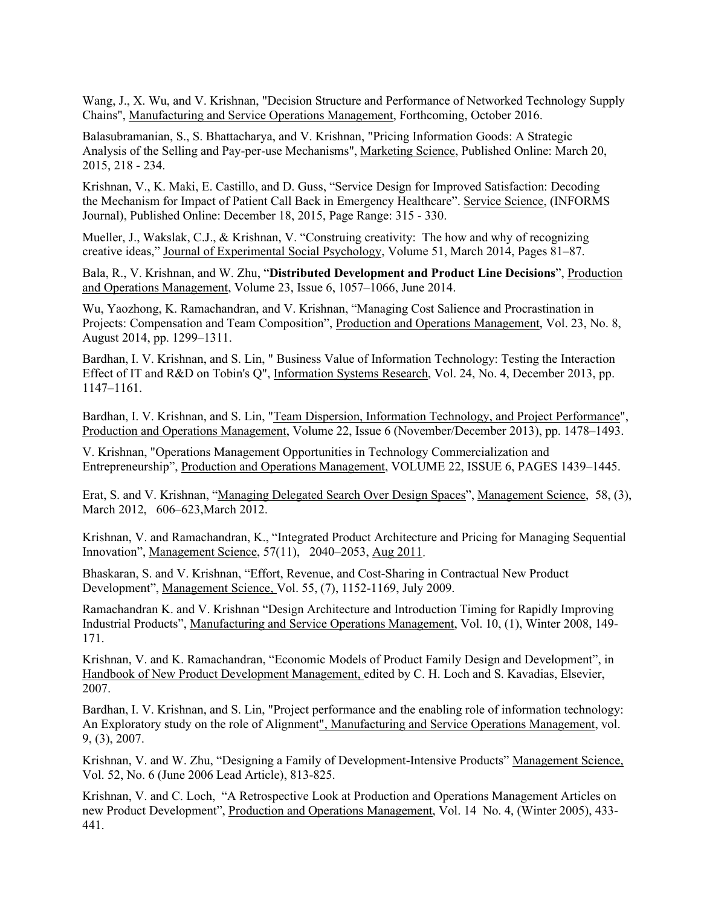Wang, J., X. Wu, and V. Krishnan, "Decision Structure and Performance of Networked Technology Supply Chains", Manufacturing and Service Operations Management, Forthcoming, October 2016.

Balasubramanian, S., S. Bhattacharya, and V. Krishnan, ["Pricing Information Goods: A Strategic](http://pubsonline.informs.org/doi/abs/10.1287/mksc.2014.0894)  [Analysis of the Selling and Pay-per-use Mechanisms"](http://pubsonline.informs.org/doi/abs/10.1287/mksc.2014.0894), Marketing Science, Published Online: March 20, 2015, 218 - 234.

Krishnan, V., K. Maki, E. Castillo, and D. Guss, "Service Design for Improved Satisfaction: Decoding the Mechanism for Impact of Patient Call Back in Emergency Healthcare". Service Science, (INFORMS Journal), [Published Online: December 18, 2015, Page Range: 315 -](http://pubsonline.informs.org/doi/abs/10.1287/serv.2015.0117) 330.

Mueller, J., Wakslak, C.J., & Krishnan, V. "Construing creativity: The how and why of recognizing creative ideas," Journal of Experimental Social Psychology[, Volume 51, March 2014, Pages 81–87.](http://www.sciencedirect.com/science/article/pii/S0022103113001935)

Bala, R., V. Krishnan, and W. Zhu, "**Distributed Development and Product Line Decisions**", Production and Operations Management, [Volume 23, Issue 6, 1057–1066, June 2014.](http://onlinelibrary.wiley.com/doi/10.1111/poms.12185/abstract)

Wu, Yaozhong, K. Ramachandran, and V. Krishnan, ["Managing Cost Salience and Procrastination in](http://onlinelibrary.wiley.com/doi/10.1111/poms.12095/pdf)  [Projects: Compensation and Team Composition"](http://onlinelibrary.wiley.com/doi/10.1111/poms.12095/pdf), Production and Operations Management, Vol. 23, No. 8, August 2014, pp. 1299–1311.

Bardhan, I. V. Krishnan, and S. Lin, " [Business Value of Information Technology: Testing the Interaction](http://pubsonline.informs.org/doi/pdf/10.1287/isre.2013.0481)  [Effect of IT and R&D on Tobin's Q"](http://pubsonline.informs.org/doi/pdf/10.1287/isre.2013.0481), Information Systems Research, Vol. 24, No. 4, December 2013, pp. 1147–1161.

Bardhan, I. V. Krishnan, and S. Lin, ["Team Dispersion, Information Technology, and Project Performance"](http://onlinelibrary.wiley.com/doi/10.1111/j.1937-5956.2012.01366.x/abstract), Production and Operations Management, Volume 22, Issue 6 (November/December 2013), pp. 1478–1493.

V. Krishnan, "Operations Management Opportunities in Technology Commercialization and Entrepreneurship", Production and Operations Management[, VOLUME 22, ISSUE 6, PAGES 1439–1445.](http://onlinelibrary.wiley.com/doi/10.1111/poms.12012/abstract;jsessionid=1337A6799A7E1FADE6B8FC647C7B6A27.f03t02)

Erat, S. and V. Krishnan, ["Managing Delegated Search Over Design Spaces"](http://papers.ssrn.com/sol3/papers.cfm?abstract_id=1567599), Management Science, 58, (3), March 2012, 606–623,March 2012.

Krishnan, V. and Ramachandran, K., "Integrated Product Architecture and Pricing for Managing Sequential Innovation", Management Science, 57(11), 2040–2053, [Aug 2011.](http://mansci.journal.informs.org/content/early/2011/08/12/mnsc.1110.1391.abstract)

Bhaskaran, S. and V. Krishnan, "Effort, Revenue, and Cost-Sharing in Contractual New Product Development", Management Science, Vol. 55, (7), 1152-1169, July 2009.

Ramachandran K. and V. Krishnan "Design Architecture and Introduction Timing for Rapidly Improving Industrial Products", Manufacturing and Service Operations Management, Vol. 10, (1), Winter 2008, 149- 171.

Krishnan, V. and K. Ramachandran, "Economic Models of Product Family Design and Development", in Handbook of New Product Development Management, edited by C. H. Loch and S. Kavadias, Elsevier, 2007.

Bardhan, I. V. Krishnan, and S. Lin, "Project performance and the enabling role of information technology: An Exploratory study on the role of Alignment", Manufacturing and Service Operations Management, vol. 9, (3), 2007.

Krishnan, V. and W. Zhu, "Designing a Family of Development-Intensive Products" Management Science, Vol. 52, No. 6 (June 2006 Lead Article), 813-825.

Krishnan, V. and C. Loch, "A Retrospective Look at Production and Operations Management Articles on new Product Development", Production and Operations Management, Vol. 14 No. 4, (Winter 2005), 433-441.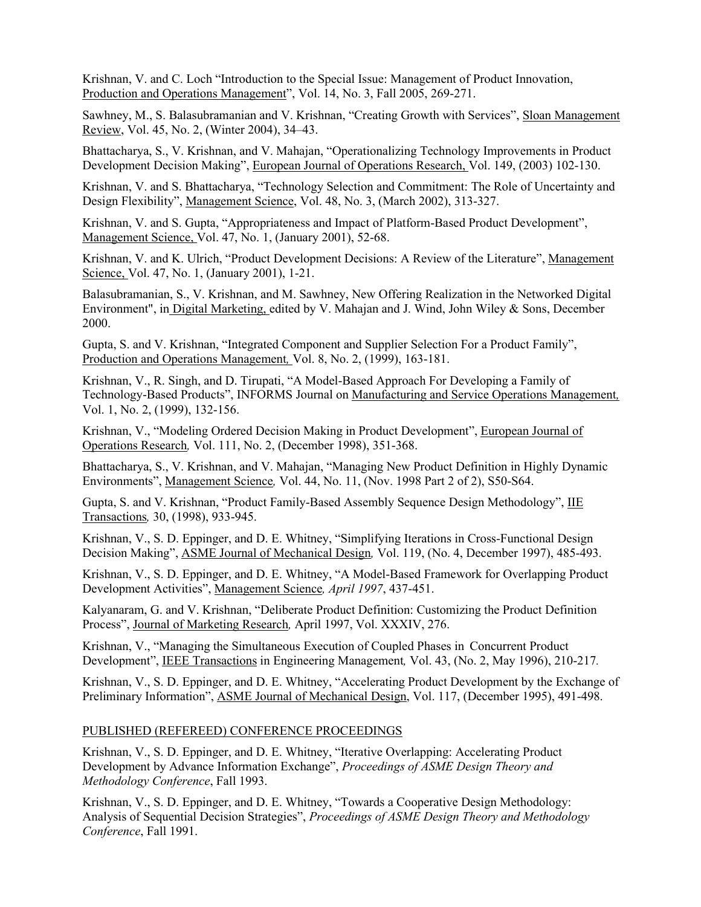Krishnan, V. and C. Loch "Introduction to the Special Issue: Management of Product Innovation, Production and Operations Management", Vol. 14, No. 3, Fall 2005, 269-271.

Sawhney, M., S. Balasubramanian and V. Krishnan, "Creating Growth with Services", Sloan Management Review, Vol. 45, No. 2, (Winter 2004), 34–43.

Bhattacharya, S., V. Krishnan, and V. Mahajan, "Operationalizing Technology Improvements in Product Development Decision Making", European Journal of Operations Research, Vol. 149, (2003) 102-130.

Krishnan, V. and S. Bhattacharya, "Technology Selection and Commitment: The Role of Uncertainty and Design Flexibility", Management Science, Vol. 48, No. 3, (March 2002), 313-327.

Krishnan, V. and S. Gupta, "Appropriateness and Impact of Platform-Based Product Development", Management Science, Vol. 47, No. 1, (January 2001), 52-68.

Krishnan, V. and K. Ulrich, "Product Development Decisions: A Review of the Literature", Management Science, Vol. 47, No. 1, (January 2001), 1-21.

Balasubramanian, S., V. Krishnan, and M. Sawhney, New Offering Realization in the Networked Digital Environment", in Digital Marketing, edited by V. Mahajan and J. Wind, John Wiley & Sons, December 2000.

Gupta, S. and V. Krishnan, "Integrated Component and Supplier Selection For a Product Family", Production and Operations Management*,* Vol. 8, No. 2, (1999), 163-181.

Krishnan, V., R. Singh, and D. Tirupati, "A Model-Based Approach For Developing a Family of Technology-Based Products", INFORMS Journal on Manufacturing and Service Operations Management*,*  Vol. 1, No. 2, (1999), 132-156.

Krishnan, V., "Modeling Ordered Decision Making in Product Development", European Journal of Operations Research*,* Vol. 111, No. 2, (December 1998), 351-368.

Bhattacharya, S., V. Krishnan, and V. Mahajan, "Managing New Product Definition in Highly Dynamic Environments", Management Science*,* Vol. 44, No. 11, (Nov. 1998 Part 2 of 2), S50-S64.

Gupta, S. and V. Krishnan, "Product Family-Based Assembly Sequence Design Methodology", IIE Transactions*,* 30, (1998), 933-945.

Krishnan, V., S. D. Eppinger, and D. E. Whitney, "Simplifying Iterations in Cross-Functional Design Decision Making", ASME Journal of Mechanical Design*,* Vol. 119, (No. 4, December 1997), 485-493.

Krishnan, V., S. D. Eppinger, and D. E. Whitney, "A Model-Based Framework for Overlapping Product Development Activities", Management Science*, April 1997*, 437-451.

Kalyanaram, G. and V. Krishnan, "Deliberate Product Definition: Customizing the Product Definition Process", Journal of Marketing Research*,* April 1997, Vol. XXXIV, 276.

Krishnan, V., "Managing the Simultaneous Execution of Coupled Phases in Concurrent Product Development", IEEE Transactions in Engineering Management*,* Vol. 43, (No. 2, May 1996), 210-217*.*

Krishnan, V., S. D. Eppinger, and D. E. Whitney, "Accelerating Product Development by the Exchange of Preliminary Information", ASME Journal of Mechanical Design, Vol. 117, (December 1995), 491-498.

#### PUBLISHED (REFEREED) CONFERENCE PROCEEDINGS

Krishnan, V., S. D. Eppinger, and D. E. Whitney, "Iterative Overlapping: Accelerating Product Development by Advance Information Exchange", *Proceedings of ASME Design Theory and Methodology Conference*, Fall 1993.

Krishnan, V., S. D. Eppinger, and D. E. Whitney, "Towards a Cooperative Design Methodology: Analysis of Sequential Decision Strategies", *Proceedings of ASME Design Theory and Methodology Conference*, Fall 1991.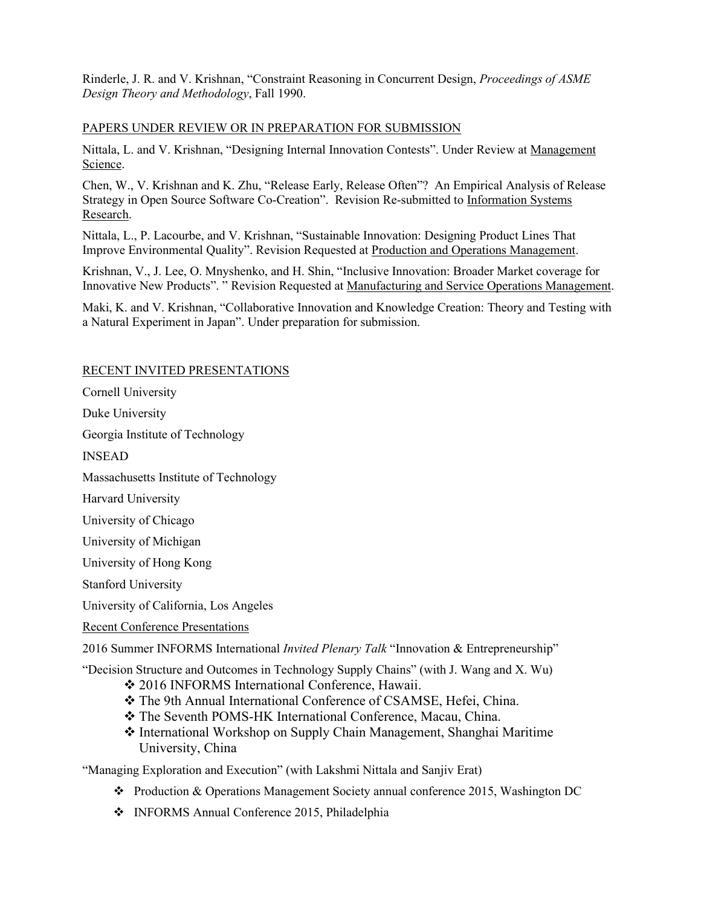Rinderle, J. R. and V. Krishnan, "Constraint Reasoning in Concurrent Design, *Proceedings of ASME Design Theory and Methodology*, Fall 1990.

## PAPERS UNDER REVIEW OR IN PREPARATION FOR SUBMISSION

Nittala, L. and V. Krishnan, "Designing Internal Innovation Contests". Under Review at Management Science.

Chen, W., V. Krishnan and K. Zhu, "Release Early, Release Often"? An Empirical Analysis of Release Strategy in Open Source Software Co-Creation". Revision Re-submitted to Information Systems Research.

Nittala, L., P. Lacourbe, and V. Krishnan, "Sustainable Innovation: Designing Product Lines That Improve Environmental Quality". Revision Requested at Production and Operations Management.

Krishnan, V., J. Lee, O. Mnyshenko, and H. Shin, "Inclusive Innovation: Broader Market coverage for Innovative New Products". " Revision Requested at Manufacturing and Service Operations Management.

Maki, K. and V. Krishnan, "Collaborative Innovation and Knowledge Creation: Theory and Testing with a Natural Experiment in Japan". Under preparation for submission.

### RECENT INVITED PRESENTATIONS

Cornell University

Duke University

Georgia Institute of Technology

INSEAD

Massachusetts Institute of Technology

Harvard University

University of Chicago

University of Michigan

University of Hong Kong

Stanford University

University of California, Los Angeles

Recent Conference Presentations

2016 Summer INFORMS International *Invited Plenary Talk* "Innovation & Entrepreneurship"

"Decision Structure and Outcomes in Technology Supply Chains" (with J. Wang and X. Wu)

- ◆ 2016 INFORMS International Conference, Hawaii.
- The 9th Annual International Conference of CSAMSE, Hefei, China.
- The Seventh POMS-HK International Conference, Macau, China.
- International Workshop on Supply Chain Management, Shanghai Maritime University, China

"Managing Exploration and Execution" (with Lakshmi Nittala and Sanjiv Erat)

- Production & Operations Management Society annual conference 2015, Washington DC
- INFORMS Annual Conference 2015, Philadelphia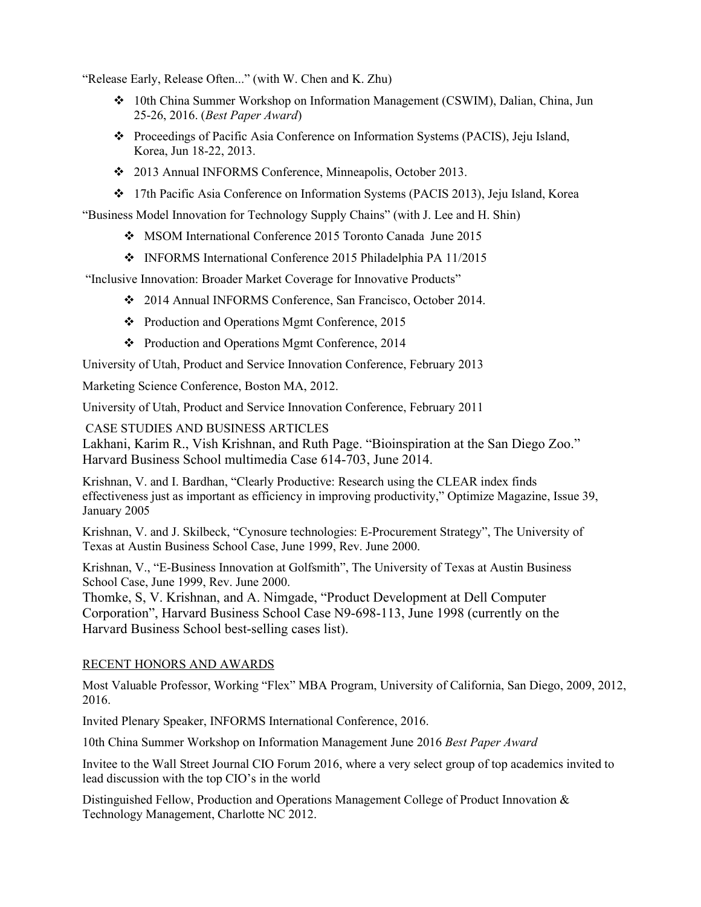"Release Early, Release Often..." (with W. Chen and K. Zhu)

- 10th China Summer Workshop on Information Management (CSWIM), Dalian, China, Jun 25-26, 2016. (*Best Paper Award*)
- Proceedings of Pacific Asia Conference on Information Systems (PACIS), Jeju Island, Korea, Jun 18-22, 2013.
- 2013 Annual INFORMS Conference, Minneapolis, October 2013.
- 17th Pacific Asia Conference on Information Systems (PACIS 2013), Jeju Island, Korea

"Business Model Innovation for Technology Supply Chains" (with J. Lee and H. Shin)

- MSOM International Conference 2015 Toronto Canada June 2015
- INFORMS International Conference 2015 Philadelphia PA 11/2015

"Inclusive Innovation: Broader Market Coverage for Innovative Products"

- [2014 Annual INFORMS Conference, San Francisco, October](http://meetings2.informs.org/sanfrancisco2014/Images/pdfs/complete.pdf) 2014.
- [Production and Operations Mgmt Conference, 2015](https://www.pomsmeetings.org/ConfEvents/060/Binder1.pdf)
- [Production and Operations Mgmt Conference, 2014](https://www.pomsmeetings.org/confevents/051/book.pdf)

University of Utah, Product and Service Innovation Conference, February 2013

Marketing Science Conference, Boston MA, 2012.

University of Utah, Product and Service Innovation Conference, February 2011

CASE STUDIES AND BUSINESS ARTICLES

Lakhani, Karim R., Vish Krishnan, and Ruth Page. "Bioinspiration at the San Diego Zoo." Harvard Business School multimedia Case 614-703, June 2014.

Krishnan, V. and I. Bardhan, ["Clearly Productive: Research using the CLEAR index finds](http://www.optimizemag.com/article/showArticle.jhtml?articleId=56200370) [effectiveness just as important as efficiency in improving productivity,](http://www.optimizemag.com/article/showArticle.jhtml?articleId=56200370)" Optimize Magazine, Issue 39, January 2005

Krishnan, V. and J. Skilbeck, "Cynosure technologies: E-Procurement Strategy", The University of Texas at Austin Business School Case, June 1999, Rev. June 2000.

Krishnan, V., "E-Business Innovation at Golfsmith", The University of Texas at Austin Business School Case, June 1999, Rev. June 2000.

Thomke, S, V. Krishnan, and A. Nimgade, "Product Development at Dell Computer Corporation", Harvard Business School Case N9-698-113, June 1998 (currently on the Harvard Business School best-selling cases list).

### RECENT HONORS AND AWARDS

Most Valuable Professor, Working "Flex" MBA Program, University of California, San Diego, 2009, 2012, 2016.

Invited Plenary Speaker, INFORMS International Conference, 2016.

10th China Summer Workshop on Information Management June 2016 *Best Paper Award*

Invitee to the Wall Street Journal CIO Forum 2016, where a very select group of top academics invited to lead discussion with the top CIO's in the world

Distinguished Fellow, Production and Operations Management College of Product Innovation & Technology Management, Charlotte NC 2012.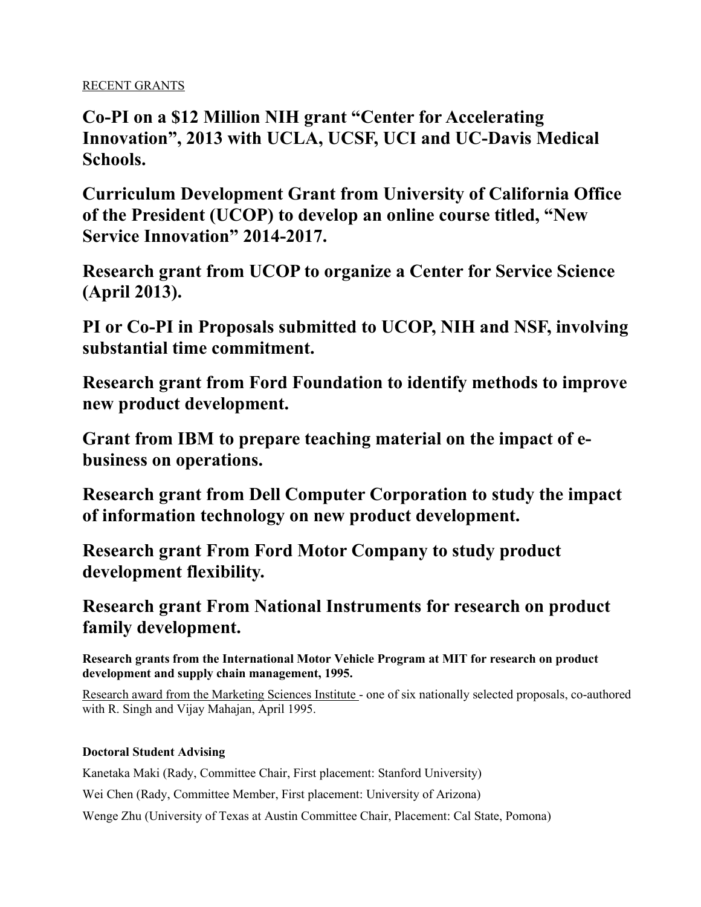# RECENT GRANTS

**Co-PI on a \$12 Million NIH grant "Center for Accelerating Innovation", 2013 with UCLA, UCSF, UCI and UC-Davis Medical Schools.**

**Curriculum Development Grant from University of California Office of the President (UCOP) to develop an online course titled, "New Service Innovation" 2014-2017.**

**Research grant from UCOP to organize a Center for Service Science (April 2013).**

**PI or Co-PI in Proposals submitted to UCOP, NIH and NSF, involving substantial time commitment.**

**Research grant from Ford Foundation to identify methods to improve new product development.**

**Grant from IBM to prepare teaching material on the impact of ebusiness on operations.**

**Research grant from Dell Computer Corporation to study the impact of information technology on new product development.**

**Research grant From Ford Motor Company to study product development flexibility.**

**Research grant From National Instruments for research on product family development.**

**Research grants from the International Motor Vehicle Program at MIT for research on product development and supply chain management, 1995.**

Research award from the Marketing Sciences Institute - one of six nationally selected proposals, co-authored with R. Singh and Vijay Mahajan, April 1995.

## **Doctoral Student Advising**

Kanetaka Maki (Rady, Committee Chair, First placement: Stanford University)

Wei Chen (Rady, Committee Member, First placement: University of Arizona)

Wenge Zhu (University of Texas at Austin Committee Chair, Placement: Cal State, Pomona)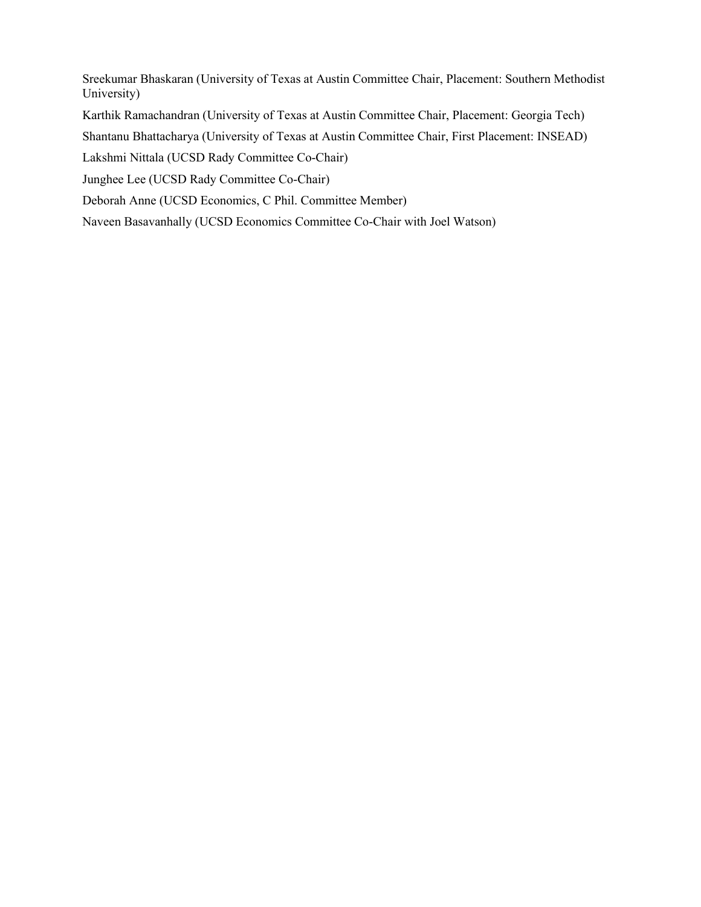Sreekumar Bhaskaran (University of Texas at Austin Committee Chair, Placement: Southern Methodist University)

Karthik Ramachandran (University of Texas at Austin Committee Chair, Placement: Georgia Tech)

Shantanu Bhattacharya (University of Texas at Austin Committee Chair, First Placement: INSEAD)

Lakshmi Nittala (UCSD Rady Committee Co-Chair)

Junghee Lee (UCSD Rady Committee Co-Chair)

Deborah Anne (UCSD Economics, C Phil. Committee Member)

Naveen Basavanhally (UCSD Economics Committee Co-Chair with Joel Watson)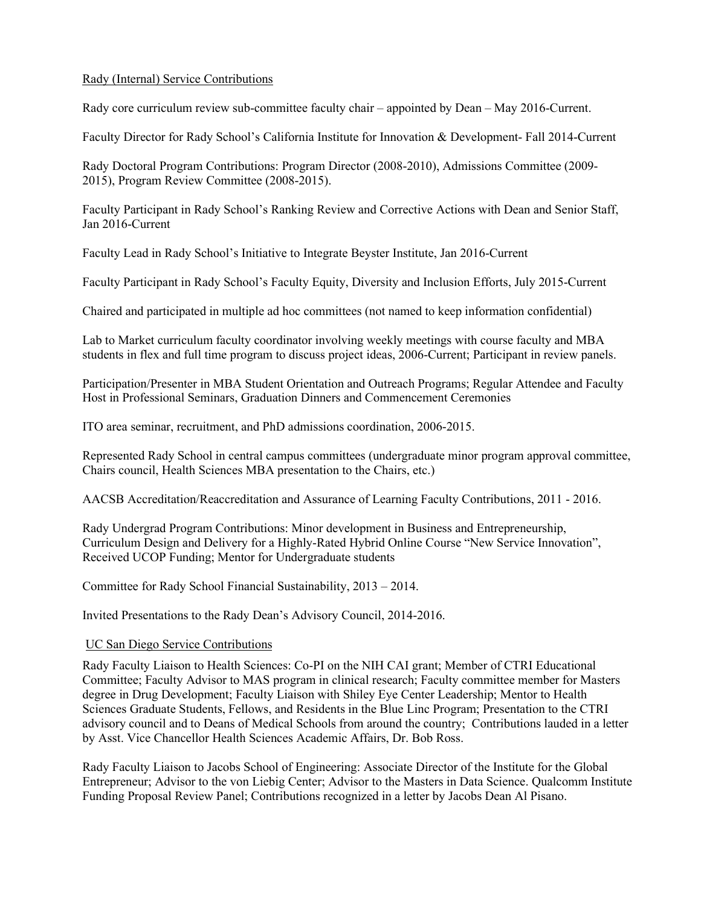## Rady (Internal) Service Contributions

Rady core curriculum review sub-committee faculty chair – appointed by Dean – May 2016-Current.

Faculty Director for Rady School's California Institute for Innovation & Development- Fall 2014-Current

Rady Doctoral Program Contributions: Program Director (2008-2010), Admissions Committee (2009- 2015), Program Review Committee (2008-2015).

Faculty Participant in Rady School's Ranking Review and Corrective Actions with Dean and Senior Staff, Jan 2016-Current

Faculty Lead in Rady School's Initiative to Integrate Beyster Institute, Jan 2016-Current

Faculty Participant in Rady School's Faculty Equity, Diversity and Inclusion Efforts, July 2015-Current

Chaired and participated in multiple ad hoc committees (not named to keep information confidential)

Lab to Market curriculum faculty coordinator involving weekly meetings with course faculty and MBA students in flex and full time program to discuss project ideas, 2006-Current; Participant in review panels.

Participation/Presenter in MBA Student Orientation and Outreach Programs; Regular Attendee and Faculty Host in Professional Seminars, Graduation Dinners and Commencement Ceremonies

ITO area seminar, recruitment, and PhD admissions coordination, 2006-2015.

Represented Rady School in central campus committees (undergraduate minor program approval committee, Chairs council, Health Sciences MBA presentation to the Chairs, etc.)

AACSB Accreditation/Reaccreditation and Assurance of Learning Faculty Contributions, 2011 - 2016.

Rady Undergrad Program Contributions: Minor development in Business and Entrepreneurship, Curriculum Design and Delivery for a Highly-Rated Hybrid Online Course "New Service Innovation", Received UCOP Funding; Mentor for Undergraduate students

Committee for Rady School Financial Sustainability, 2013 – 2014.

Invited Presentations to the Rady Dean's Advisory Council, 2014-2016.

### UC San Diego Service Contributions

Rady Faculty Liaison to Health Sciences: Co-PI on the NIH CAI grant; Member of CTRI Educational Committee; Faculty Advisor to MAS program in clinical research; Faculty committee member for Masters degree in Drug Development; Faculty Liaison with Shiley Eye Center Leadership; Mentor to Health Sciences Graduate Students, Fellows, and Residents in the Blue Linc Program; Presentation to the CTRI advisory council and to Deans of Medical Schools from around the country; Contributions lauded in a letter by Asst. Vice Chancellor Health Sciences Academic Affairs, Dr. Bob Ross.

Rady Faculty Liaison to Jacobs School of Engineering: Associate Director of the Institute for the Global Entrepreneur; Advisor to the von Liebig Center; Advisor to the Masters in Data Science. Qualcomm Institute Funding Proposal Review Panel; Contributions recognized in a letter by Jacobs Dean Al Pisano.